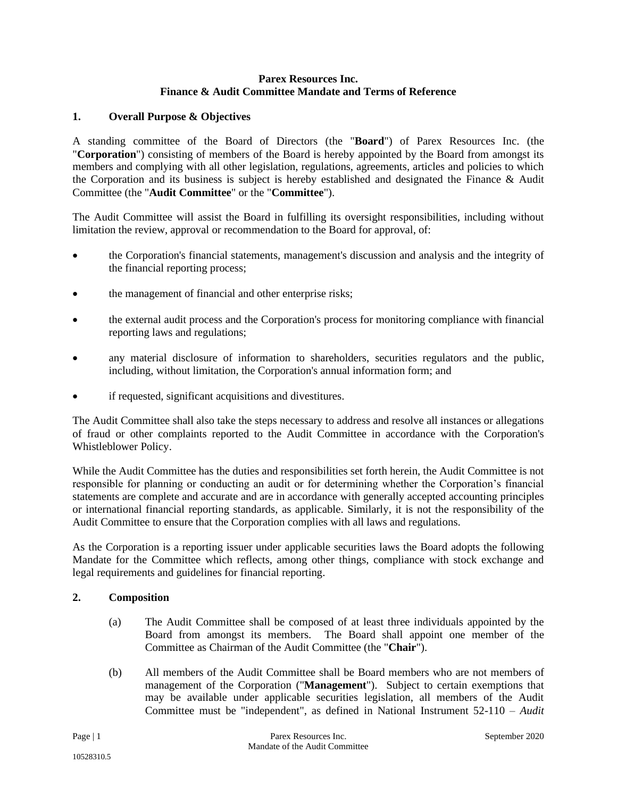#### **Parex Resources Inc. Finance & Audit Committee Mandate and Terms of Reference**

# **1. Overall Purpose & Objectives**

A standing committee of the Board of Directors (the "**Board**") of Parex Resources Inc. (the "**Corporation**") consisting of members of the Board is hereby appointed by the Board from amongst its members and complying with all other legislation, regulations, agreements, articles and policies to which the Corporation and its business is subject is hereby established and designated the Finance & Audit Committee (the "**Audit Committee**" or the "**Committee**").

The Audit Committee will assist the Board in fulfilling its oversight responsibilities, including without limitation the review, approval or recommendation to the Board for approval, of:

- the Corporation's financial statements, management's discussion and analysis and the integrity of the financial reporting process;
- the management of financial and other enterprise risks;
- the external audit process and the Corporation's process for monitoring compliance with financial reporting laws and regulations;
- any material disclosure of information to shareholders, securities regulators and the public, including, without limitation, the Corporation's annual information form; and
- if requested, significant acquisitions and divestitures.

The Audit Committee shall also take the steps necessary to address and resolve all instances or allegations of fraud or other complaints reported to the Audit Committee in accordance with the Corporation's Whistleblower Policy.

While the Audit Committee has the duties and responsibilities set forth herein, the Audit Committee is not responsible for planning or conducting an audit or for determining whether the Corporation's financial statements are complete and accurate and are in accordance with generally accepted accounting principles or international financial reporting standards, as applicable. Similarly, it is not the responsibility of the Audit Committee to ensure that the Corporation complies with all laws and regulations.

As the Corporation is a reporting issuer under applicable securities laws the Board adopts the following Mandate for the Committee which reflects, among other things, compliance with stock exchange and legal requirements and guidelines for financial reporting.

# **2. Composition**

- (a) The Audit Committee shall be composed of at least three individuals appointed by the Board from amongst its members. The Board shall appoint one member of the Committee as Chairman of the Audit Committee (the "**Chair**").
- (b) All members of the Audit Committee shall be Board members who are not members of management of the Corporation ("**Management**"). Subject to certain exemptions that may be available under applicable securities legislation, all members of the Audit Committee must be "independent", as defined in National Instrument 52-110 – *Audit*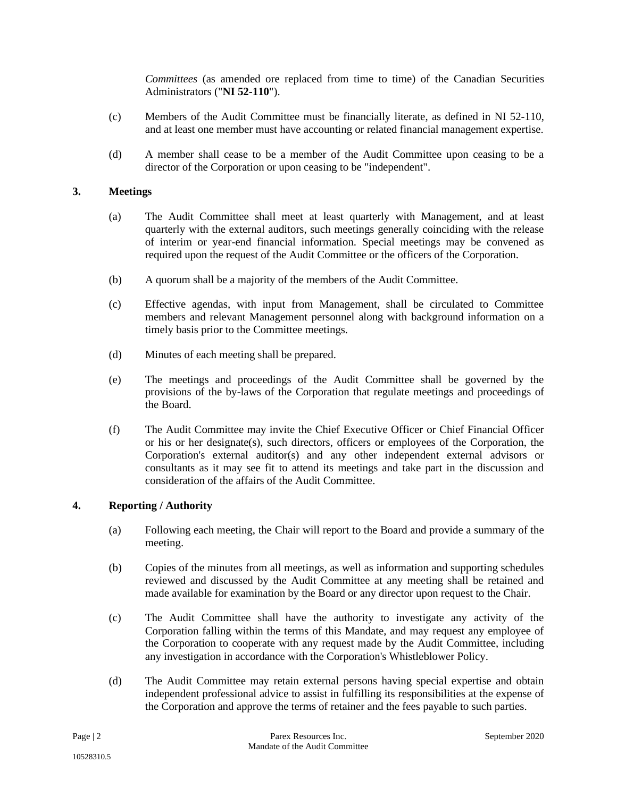*Committees* (as amended ore replaced from time to time) of the Canadian Securities Administrators ("**NI 52-110**").

- (c) Members of the Audit Committee must be financially literate, as defined in NI 52-110, and at least one member must have accounting or related financial management expertise.
- (d) A member shall cease to be a member of the Audit Committee upon ceasing to be a director of the Corporation or upon ceasing to be "independent".

### **3. Meetings**

- (a) The Audit Committee shall meet at least quarterly with Management, and at least quarterly with the external auditors, such meetings generally coinciding with the release of interim or year-end financial information. Special meetings may be convened as required upon the request of the Audit Committee or the officers of the Corporation.
- (b) A quorum shall be a majority of the members of the Audit Committee.
- (c) Effective agendas, with input from Management, shall be circulated to Committee members and relevant Management personnel along with background information on a timely basis prior to the Committee meetings.
- (d) Minutes of each meeting shall be prepared.
- (e) The meetings and proceedings of the Audit Committee shall be governed by the provisions of the by-laws of the Corporation that regulate meetings and proceedings of the Board.
- (f) The Audit Committee may invite the Chief Executive Officer or Chief Financial Officer or his or her designate(s), such directors, officers or employees of the Corporation, the Corporation's external auditor(s) and any other independent external advisors or consultants as it may see fit to attend its meetings and take part in the discussion and consideration of the affairs of the Audit Committee.

#### **4. Reporting / Authority**

- (a) Following each meeting, the Chair will report to the Board and provide a summary of the meeting.
- (b) Copies of the minutes from all meetings, as well as information and supporting schedules reviewed and discussed by the Audit Committee at any meeting shall be retained and made available for examination by the Board or any director upon request to the Chair.
- (c) The Audit Committee shall have the authority to investigate any activity of the Corporation falling within the terms of this Mandate, and may request any employee of the Corporation to cooperate with any request made by the Audit Committee, including any investigation in accordance with the Corporation's Whistleblower Policy.
- (d) The Audit Committee may retain external persons having special expertise and obtain independent professional advice to assist in fulfilling its responsibilities at the expense of the Corporation and approve the terms of retainer and the fees payable to such parties.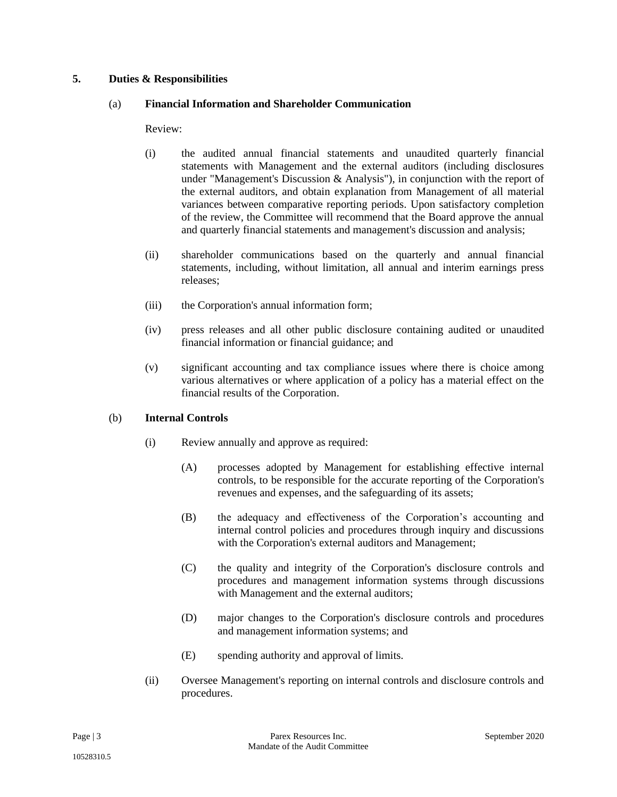### **5. Duties & Responsibilities**

#### (a) **Financial Information and Shareholder Communication**

Review:

- (i) the audited annual financial statements and unaudited quarterly financial statements with Management and the external auditors (including disclosures under "Management's Discussion & Analysis"), in conjunction with the report of the external auditors, and obtain explanation from Management of all material variances between comparative reporting periods. Upon satisfactory completion of the review, the Committee will recommend that the Board approve the annual and quarterly financial statements and management's discussion and analysis;
- (ii) shareholder communications based on the quarterly and annual financial statements, including, without limitation, all annual and interim earnings press releases;
- (iii) the Corporation's annual information form;
- (iv) press releases and all other public disclosure containing audited or unaudited financial information or financial guidance; and
- (v) significant accounting and tax compliance issues where there is choice among various alternatives or where application of a policy has a material effect on the financial results of the Corporation.

#### (b) **Internal Controls**

- (i) Review annually and approve as required:
	- (A) processes adopted by Management for establishing effective internal controls, to be responsible for the accurate reporting of the Corporation's revenues and expenses, and the safeguarding of its assets;
	- (B) the adequacy and effectiveness of the Corporation's accounting and internal control policies and procedures through inquiry and discussions with the Corporation's external auditors and Management;
	- (C) the quality and integrity of the Corporation's disclosure controls and procedures and management information systems through discussions with Management and the external auditors;
	- (D) major changes to the Corporation's disclosure controls and procedures and management information systems; and
	- (E) spending authority and approval of limits.
- (ii) Oversee Management's reporting on internal controls and disclosure controls and procedures.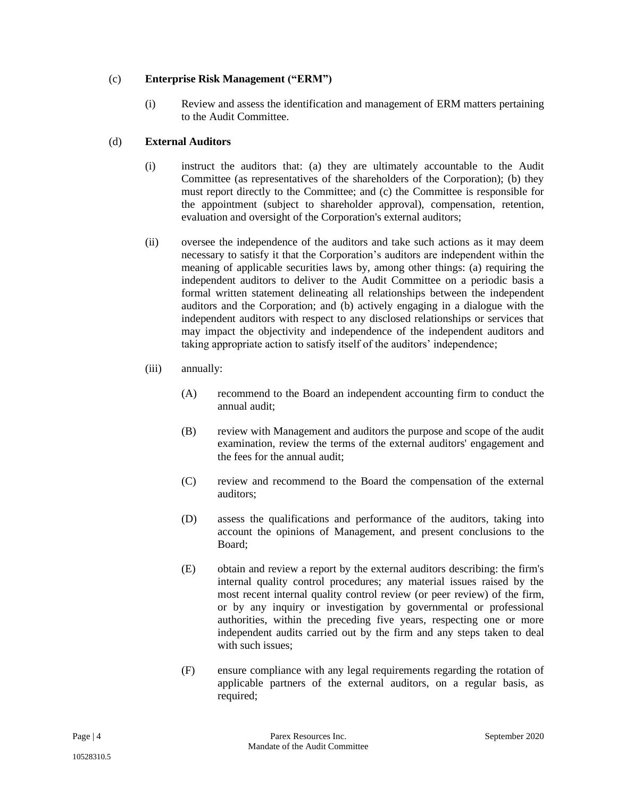# (c) **Enterprise Risk Management ("ERM")**

(i) Review and assess the identification and management of ERM matters pertaining to the Audit Committee.

# (d) **External Auditors**

- (i) instruct the auditors that: (a) they are ultimately accountable to the Audit Committee (as representatives of the shareholders of the Corporation); (b) they must report directly to the Committee; and (c) the Committee is responsible for the appointment (subject to shareholder approval), compensation, retention, evaluation and oversight of the Corporation's external auditors;
- (ii) oversee the independence of the auditors and take such actions as it may deem necessary to satisfy it that the Corporation's auditors are independent within the meaning of applicable securities laws by, among other things: (a) requiring the independent auditors to deliver to the Audit Committee on a periodic basis a formal written statement delineating all relationships between the independent auditors and the Corporation; and (b) actively engaging in a dialogue with the independent auditors with respect to any disclosed relationships or services that may impact the objectivity and independence of the independent auditors and taking appropriate action to satisfy itself of the auditors' independence;
- (iii) annually:
	- (A) recommend to the Board an independent accounting firm to conduct the annual audit;
	- (B) review with Management and auditors the purpose and scope of the audit examination, review the terms of the external auditors' engagement and the fees for the annual audit;
	- (C) review and recommend to the Board the compensation of the external auditors;
	- (D) assess the qualifications and performance of the auditors, taking into account the opinions of Management, and present conclusions to the Board;
	- (E) obtain and review a report by the external auditors describing: the firm's internal quality control procedures; any material issues raised by the most recent internal quality control review (or peer review) of the firm, or by any inquiry or investigation by governmental or professional authorities, within the preceding five years, respecting one or more independent audits carried out by the firm and any steps taken to deal with such issues:
	- (F) ensure compliance with any legal requirements regarding the rotation of applicable partners of the external auditors, on a regular basis, as required;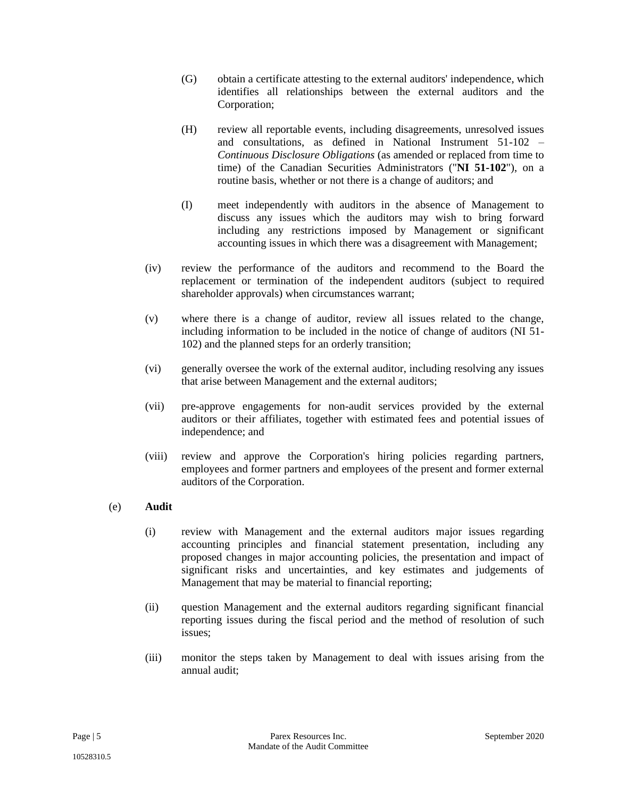- (G) obtain a certificate attesting to the external auditors' independence, which identifies all relationships between the external auditors and the Corporation;
- (H) review all reportable events, including disagreements, unresolved issues and consultations, as defined in National Instrument 51-102 – *Continuous Disclosure Obligations* (as amended or replaced from time to time) of the Canadian Securities Administrators ("**NI 51-102**"), on a routine basis, whether or not there is a change of auditors; and
- (I) meet independently with auditors in the absence of Management to discuss any issues which the auditors may wish to bring forward including any restrictions imposed by Management or significant accounting issues in which there was a disagreement with Management;
- (iv) review the performance of the auditors and recommend to the Board the replacement or termination of the independent auditors (subject to required shareholder approvals) when circumstances warrant;
- (v) where there is a change of auditor, review all issues related to the change, including information to be included in the notice of change of auditors (NI 51- 102) and the planned steps for an orderly transition;
- (vi) generally oversee the work of the external auditor, including resolving any issues that arise between Management and the external auditors;
- (vii) pre-approve engagements for non-audit services provided by the external auditors or their affiliates, together with estimated fees and potential issues of independence; and
- (viii) review and approve the Corporation's hiring policies regarding partners, employees and former partners and employees of the present and former external auditors of the Corporation.

# (e) **Audit**

- (i) review with Management and the external auditors major issues regarding accounting principles and financial statement presentation, including any proposed changes in major accounting policies, the presentation and impact of significant risks and uncertainties, and key estimates and judgements of Management that may be material to financial reporting;
- (ii) question Management and the external auditors regarding significant financial reporting issues during the fiscal period and the method of resolution of such issues;
- (iii) monitor the steps taken by Management to deal with issues arising from the annual audit;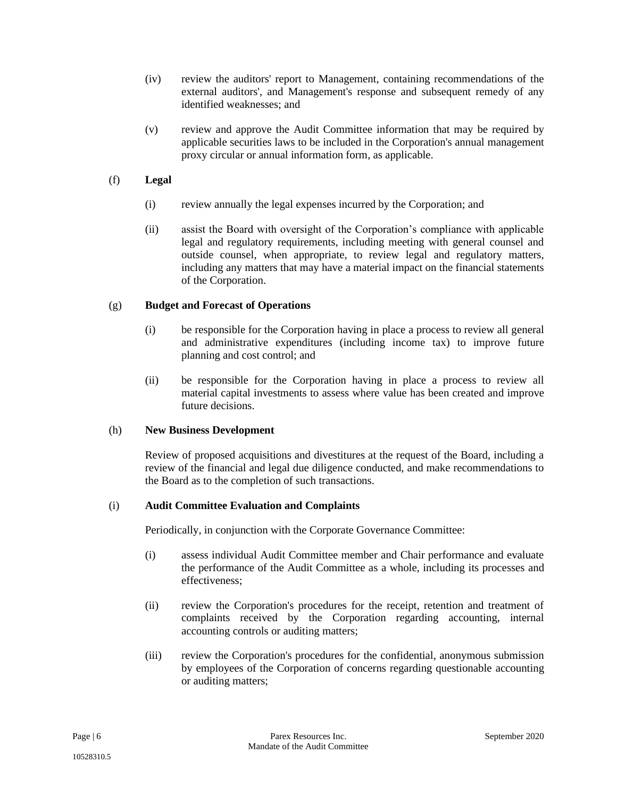- (iv) review the auditors' report to Management, containing recommendations of the external auditors', and Management's response and subsequent remedy of any identified weaknesses; and
- (v) review and approve the Audit Committee information that may be required by applicable securities laws to be included in the Corporation's annual management proxy circular or annual information form, as applicable.

# (f) **Legal**

- (i) review annually the legal expenses incurred by the Corporation; and
- (ii) assist the Board with oversight of the Corporation's compliance with applicable legal and regulatory requirements, including meeting with general counsel and outside counsel, when appropriate, to review legal and regulatory matters, including any matters that may have a material impact on the financial statements of the Corporation.

### (g) **Budget and Forecast of Operations**

- (i) be responsible for the Corporation having in place a process to review all general and administrative expenditures (including income tax) to improve future planning and cost control; and
- (ii) be responsible for the Corporation having in place a process to review all material capital investments to assess where value has been created and improve future decisions.

#### (h) **New Business Development**

Review of proposed acquisitions and divestitures at the request of the Board, including a review of the financial and legal due diligence conducted, and make recommendations to the Board as to the completion of such transactions.

#### (i) **Audit Committee Evaluation and Complaints**

Periodically, in conjunction with the Corporate Governance Committee:

- (i) assess individual Audit Committee member and Chair performance and evaluate the performance of the Audit Committee as a whole, including its processes and effectiveness;
- (ii) review the Corporation's procedures for the receipt, retention and treatment of complaints received by the Corporation regarding accounting, internal accounting controls or auditing matters;
- (iii) review the Corporation's procedures for the confidential, anonymous submission by employees of the Corporation of concerns regarding questionable accounting or auditing matters;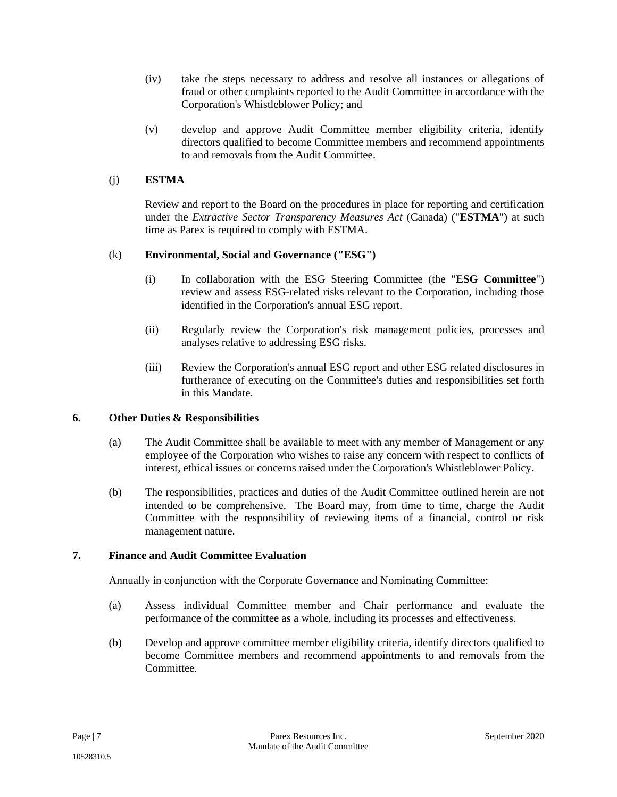- (iv) take the steps necessary to address and resolve all instances or allegations of fraud or other complaints reported to the Audit Committee in accordance with the Corporation's Whistleblower Policy; and
- (v) develop and approve Audit Committee member eligibility criteria, identify directors qualified to become Committee members and recommend appointments to and removals from the Audit Committee.

# (j) **ESTMA**

Review and report to the Board on the procedures in place for reporting and certification under the *Extractive Sector Transparency Measures Act* (Canada) ("**ESTMA**") at such time as Parex is required to comply with ESTMA.

# (k) **Environmental, Social and Governance ("ESG")**

- (i) In collaboration with the ESG Steering Committee (the "**ESG Committee**") review and assess ESG-related risks relevant to the Corporation, including those identified in the Corporation's annual ESG report.
- (ii) Regularly review the Corporation's risk management policies, processes and analyses relative to addressing ESG risks.
- (iii) Review the Corporation's annual ESG report and other ESG related disclosures in furtherance of executing on the Committee's duties and responsibilities set forth in this Mandate.

# **6. Other Duties & Responsibilities**

- (a) The Audit Committee shall be available to meet with any member of Management or any employee of the Corporation who wishes to raise any concern with respect to conflicts of interest, ethical issues or concerns raised under the Corporation's Whistleblower Policy.
- (b) The responsibilities, practices and duties of the Audit Committee outlined herein are not intended to be comprehensive. The Board may, from time to time, charge the Audit Committee with the responsibility of reviewing items of a financial, control or risk management nature.

#### **7. Finance and Audit Committee Evaluation**

Annually in conjunction with the Corporate Governance and Nominating Committee:

- (a) Assess individual Committee member and Chair performance and evaluate the performance of the committee as a whole, including its processes and effectiveness.
- (b) Develop and approve committee member eligibility criteria, identify directors qualified to become Committee members and recommend appointments to and removals from the **Committee**